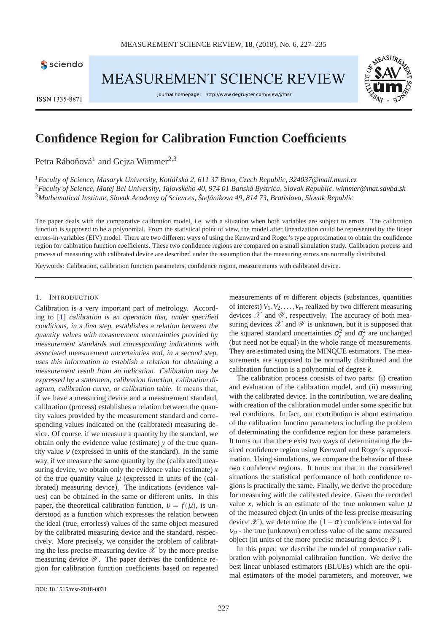

**MEASUREMENT SCIENCE REVIEW** 



Journal homepage: http://www.degruyter.com/view/j/msr



# **Confidence Region for Calibration Function Coefficients**

Petra Ráboňová<sup>1</sup> and Gejza Wimmer<sup>2,3</sup>

<sup>1</sup>*Faculty of Science, Masaryk University, Kotláˇrská 2, 611 37 Brno, Czech Republic, [324037@mail.muni.cz](mailto:author1@institution.edu)* <sup>2</sup>*Faculty of Science, Matej Bel University, Tajovského 40, 974 01 Banská Bystrica, Slovak Republic, [wimmer@mat.savba.sk](mailto:author1@institution.edu)* <sup>3</sup>*Mathematical Institute, Slovak Academy of Sciences, Štefánikova 49, 814 73, Bratislava, Slovak Republic*

The paper deals with the comparative calibration model, i.e. with a situation when both variables are subject to errors. The calibration function is supposed to be a polynomial. From the statistical point of view, the model after linearization could be represented by the linear errors-in-variables (EIV) model. There are two different ways of using the Kenward and Roger's type approximation to obtain the confidence region for calibration function coefficients. These two confidence regions are compared on a small simulation study. Calibration process and process of measuring with calibrated device are described under the assumption that the measuring errors are normally distributed.

Keywords: Calibration, calibration function parameters, confidence region, measurements with calibrated device.

#### 1. INTRODUCTION

Calibration is a very important part of metrology. According to [\[1\]](#page-8-0) calibration is an operation that, under specified conditions, in <sup>a</sup> first step, establishes <sup>a</sup> relation between the quantity values with measurement uncertainties provided by measurement standards and corresponding indications with associated measurement uncertainties and, in <sup>a</sup> second step, uses this information to establish <sup>a</sup> relation for obtaining <sup>a</sup> measurement result from an indication. Calibration may be expressed by a statement, calibration function, calibration diagram, calibration curve, or calibration table. It means that, if we have a measuring device and a measurement standard, calibration (process) establishes a relation between the quantity values provided by the measurement standard and corresponding values indicated on the (calibrated) measuring device. Of course, if we measure a quantity by the standard, we obtain only the evidence value (estimate) *y* of the true quantity value  $v$  (expressed in units of the standard). In the same way, if we measure the same quantity by the (calibrated) measuring device, we obtain only the evidence value (estimate) *x* of the true quantity value  $\mu$  (expressed in units of the (calibrated) measuring device). The indications (evidence values) can be obtained in the same or different units. In this paper, the theoretical calibration function,  $v = f(\mu)$ , is understood as a function which expresses the relation between the ideal (true, errorless) values of the same object measured by the calibrated measuring device and the standard, respectively. More precisely, we consider the problem of calibrating the less precise measuring device  $\mathscr X$  by the more precise measuring device  $\mathscr Y$ . The paper derives the confidence region for calibration function coefficients based on repeated

measurements of *m* different objects (substances, quantities of interest)  $V_1, V_2, \ldots, V_m$  realized by two different measuring devices  $\mathscr X$  and  $\mathscr Y$ , respectively. The accuracy of both measuring devices  $\mathscr X$  and  $\mathscr Y$  is unknown, but it is supposed that the squared standard uncertainties  $\sigma_x^2$  and  $\sigma_y^2$  are unchanged (but need not be equal) in the whole range of measurements. They are estimated using the MINQUE estimators. The measurements are supposed to be normally distributed and the calibration function is a polynomial of degree *k*.

The calibration process consists of two parts: (i) creation and evaluation of the calibration model, and (ii) measuring with the calibrated device. In the contribution, we are dealing with creation of the calibration model under some specific but real conditions. In fact, our contribution is about estimation of the calibration function parameters including the problem of determinating the confidence region for these parameters. It turns out that there exist two ways of determinating the desired confidence region using Kenward and Roger's approximation. Using simulations, we compare the behavior of these two confidence regions. It turns out that in the considered situations the statistical performance of both confidence regions is practically the same. Finally, we derive the procedure for measuring with the calibrated device. Given the recorded value *x*, which is an estimate of the true unknown value  $\mu$ of the measured object (in units of the less precise measuring device  $\mathscr X$ ), we determine the  $(1-\alpha)$  confidence interval for  $v_{\mu}$  - the true (unknown) errorless value of the same measured object (in units of the more precise measuring device  $\mathscr Y$ ).

In this paper, we describe the model of comparative calibration with polynomial calibration function. We derive the best linear unbiased estimators (BLUEs) which are the optimal estimators of the model parameters, and moreover, we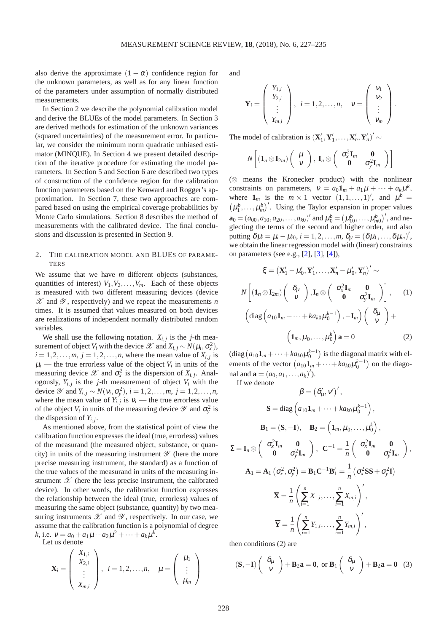also derive the approximate  $(1 - \alpha)$  confidence region for the unknown parameters, as well as for any linear function of the parameters under assumption of normally distributed measurements.

In Section 2 we describe the polynomial calibration model and derive the BLUEs of the model parameters. In Section 3 are derived methods for estimation of the unknown variances (squared uncertainties) of the measurement error. In particular, we consider the minimum norm quadratic unbiased estimator (MINQUE). In Section 4 we present detailed description of the iterative procedure for estimating the model parameters. In Section 5 and Section 6 are described two types of construction of the confidence region for the calibration function parameters based on the Kenward and Rogger's approximation. In Section 7, these two approaches are compared based on using the empirical coverage probabilities by Monte Carlo simulations. Section 8 describes the method of measurements with the calibrated device. The final conclusions and discussion is presented in Section 9.

### 2. THE CALIBRATION MODEL AND BLUES OF PARAME-TERS

We assume that we have *m* different objects (substances, quantities of interest)  $V_1, V_2, \ldots, V_m$ . Each of these objects is measured with two different measuring devices (device  $\mathscr X$  and  $\mathscr Y$ , respectively) and we repeat the measurements *n* times. It is assumed that values measured on both devices are realizations of independent normally distributed random variables.

We shall use the following notation.  $X_{i,j}$  is the *j*-th measurement of object *V*<sub>*i*</sub> with the device  $\mathscr{X}$  and  $X_{i,j} \sim N(\mu_i, \sigma_x^2)$ ,  $i = 1, 2, \dots, m$ ,  $j = 1, 2, \dots, n$ , where the mean value of  $X_{i,j}$  is  $\mu_i$  — the true errorless value of the object  $V_i$  in units of the measuring device  $\mathscr X$  and  $\sigma_x^2$  is the dispersion of  $X_{i,j}$ . Analogously,  $Y_{i,j}$  is the *j*-th measurement of object  $V_i$  with the device  $\mathscr Y$  and  $Y_{i,j} \sim N(v_i, \sigma_y^2), i = 1, 2, ..., m, j = 1, 2, ..., n$ , where the mean value of  $Y_{i,j}$  is  $V_i$  — the true errorless value of the object  $V_i$  in units of the measuring device  $\mathscr Y$  and  $\sigma_y^2$  is the dispersion of  $Y_{i,j}$ .

As mentioned above, from the statistical point of view the calibration function expresses the ideal (true, errorless) values of the measurand (the measured object, substance, or quantity) in units of the measuring instrument  $\mathscr Y$  (here the more precise measuring instrument, the standard) as a function of the true values of the measurand in units of the measuring instrument  $\mathscr X$  (here the less precise instrument, the calibrated device). In other words, the calibration function expresses the relationship between the ideal (true, errorless) values of measuring the same object (substance, quantity) by two measuring instruments  $\mathscr X$  and  $\mathscr Y$ , respectively. In our case, we assume that the calibration function is a polynomial of degree  $k$ , i.e.  $v = a_0 + a_1 \mu + a_2 \mu^2 + \cdots + a_k \mu^k$ .

Let us denote

$$
\mathbf{X}_{i} = \begin{pmatrix} X_{1,i} \\ X_{2,i} \\ \vdots \\ X_{m,i} \end{pmatrix}, i = 1, 2, \dots, n, \quad \mu = \begin{pmatrix} \mu_{1} \\ \vdots \\ \mu_{m} \end{pmatrix}
$$

and

$$
\mathbf{Y}_{i} = \begin{pmatrix} Y_{1,i} \\ Y_{2,i} \\ \vdots \\ Y_{m,i} \end{pmatrix}, i = 1, 2, \dots, n, \quad \mathbf{v} = \begin{pmatrix} v_{1} \\ v_{2} \\ \vdots \\ v_{m} \end{pmatrix}
$$

.

The model of calibration is  $(\mathbf{X}'_1, \mathbf{Y}'_1, \dots, \mathbf{X}'_n, \mathbf{Y}'_n)' \sim$ 

$$
N\left[\begin{pmatrix} \mathbf{1}_n\otimes \mathbf{I}_{2m} \end{pmatrix}\begin{pmatrix} \mu \\ \nu \end{pmatrix},\ \mathbf{I}_n\otimes \begin{pmatrix} \sigma_x^2\mathbf{I}_m & \mathbf{0} \\ \mathbf{0} & \sigma_y^2\mathbf{I}_m \end{pmatrix}\right]
$$

(⊗ means the Kronecker product) with the nonlinear constraints on parameters,  $v = a_0 \mathbf{1}_m + a_1 \mu + \cdots + a_k \mu^k$ , where  $\mathbf{1}_m$  is the  $m \times 1$  vector  $(1, 1, \ldots, 1)$ , and  $\mu^b =$  $(\mu_1^b, \ldots, \mu_m^b)'$ . Using the Taylor expansion in proper values  $\mathbf{a}_0 = (a_{00}, a_{10}, a_{20}, \dots, a_{k0})'$  and  $\mu_0^b = (\mu_{10}^b, \dots, \mu_{m0}^b)'$ , and neglecting the terms of the second and higher order, and also putting  $\delta \mu_i = \mu_i - \mu_{i0}, i = 1, 2, \ldots, m, \delta_\mu = (\delta \mu_1, \ldots, \delta \mu_m)'$ , we obtain the linear regression model with (linear) constraints on parameters (see e.g., [\[2\]](#page-8-1), [\[3\]](#page-8-2), [\[4\]](#page-8-3)),

$$
\xi = \left(\mathbf{X}'_1 - \mu'_0, \mathbf{Y}'_1, \dots, \mathbf{X}'_n - \mu'_0, \mathbf{Y}'_n\right)' \sim
$$

$$
N\left[\left(\mathbf{1}_n \otimes \mathbf{I}_{2m}\right)\left(\begin{array}{c} \delta_\mu \\ v \end{array}\right), \mathbf{I}_n \otimes \left(\begin{array}{cc} \sigma_x^2 \mathbf{I}_m & \mathbf{0} \\ \mathbf{0} & \sigma_y^2 \mathbf{I}_m \end{array}\right)\right], \qquad (1)
$$

$$
\left(\text{diag}\left(a_{10}\mathbf{1}_m + \dots + ka_{k0}\mu_0^{k-1}\right), -\mathbf{I}_m\right)\left(\begin{array}{c} \delta_\mu \\ v \end{array}\right) +
$$

$$
\left(\mathbf{1}_m, \mu_0, \dots, \mu_0^k\right)\mathbf{a} = 0 \qquad (2)
$$

<span id="page-1-0"></span>(diag  $(a_{10}1_m + \cdots + ka_{k0}\mu_0^{k-1})$  is the diagonal matrix with elements of the vector  $(a_{10}1_m + \cdots + ka_{k0}\mu_0^{k-1})$  on the diagonal and  $\mathbf{a} = (a_0, a_1, \ldots, a_k)'$ ).

If we denote

$$
\beta = (\delta'_{\mu}, v')',
$$
  
\n
$$
\mathbf{S} = \text{diag}\left(a_{10}\mathbf{1}_m + \dots + ka_{k0}\mu_0^{k-1}\right),
$$
  
\n
$$
\mathbf{B}_1 = (\mathbf{S}, -\mathbf{I}), \quad \mathbf{B}_2 = \left(\mathbf{1}_m, \mu_0, \dots, \mu_0^k\right),
$$
  
\n
$$
\Sigma = \mathbf{I}_n \otimes \begin{pmatrix} \sigma_x^2 \mathbf{I}_m & \mathbf{0} \\ \mathbf{0} & \sigma_y^2 \mathbf{I}_m \end{pmatrix}, \quad \mathbf{C}^{-1} = \frac{1}{n} \begin{pmatrix} \sigma_x^2 \mathbf{I}_m & \mathbf{0} \\ \mathbf{0} & \sigma_y^2 \mathbf{I}_m \end{pmatrix},
$$
  
\n
$$
\mathbf{A}_1 = \mathbf{A}_1 \left(\sigma_x^2, \sigma_y^2\right) = \mathbf{B}_1 \mathbf{C}^{-1} \mathbf{B}_1' = \frac{1}{n} \left(\sigma_x^2 \mathbf{S} \mathbf{S} + \sigma_y^2 \mathbf{I}\right)
$$
  
\n
$$
\overline{\mathbf{X}} = \frac{1}{n} \left(\sum_{i=1}^n X_{1,i}, \dots, \sum_{i=1}^n X_{m,i}\right)',
$$
  
\n
$$
\overline{\mathbf{Y}} = \frac{1}{n} \left(\sum_{i=1}^n Y_{1,i}, \dots, \sum_{i=1}^n Y_{m,i}\right)',
$$

then conditions [\(2\)](#page-1-0) are

$$
(\mathbf{S}, -\mathbf{I})\left(\begin{array}{c} \delta_{\mu} \\ v \end{array}\right) + \mathbf{B}_2 \mathbf{a} = \mathbf{0}, \text{ or } \mathbf{B}_1 \left(\begin{array}{c} \delta_{\mu} \\ v \end{array}\right) + \mathbf{B}_2 \mathbf{a} = \mathbf{0} \quad (3)
$$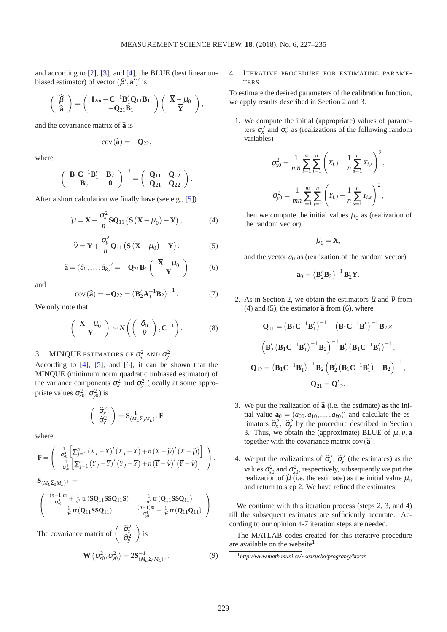and according to [\[2\]](#page-8-1), [\[3\]](#page-8-2), and [\[4\]](#page-8-3), the BLUE (best linear unbiased estimator) of vector  $(\beta', \mathbf{a}')'$  is

$$
\left(\begin{array}{cc} \widehat{\beta} \\ \widehat{\mathbf{a}} \end{array}\right) = \left(\begin{array}{cc} \mathbf{I}_{2m} - \mathbf{C}^{-1} \mathbf{B}_1' \mathbf{Q}_{11} \mathbf{B}_1 \\ -\mathbf{Q}_{21} \mathbf{B}_1 \end{array}\right) \left(\begin{array}{cc} \overline{\mathbf{X}} - \mu_0 \\ \overline{\mathbf{Y}} \end{array}\right),
$$

and the covariance matrix of  $\hat{a}$  is

$$
cov\left(\widehat{\mathbf{a}}\right)=-\mathbf{Q}_{22},
$$

where

$$
\left(\begin{array}{cc} \mathbf{B}_1\mathbf{C}^{-1}\mathbf{B}'_1 & \mathbf{B}_2 \\ \mathbf{B}'_2 & 0 \end{array}\right)^{-1} = \left(\begin{array}{cc} \mathbf{Q}_{11} & \mathbf{Q}_{12} \\ \mathbf{Q}_{21} & \mathbf{Q}_{22} \end{array}\right).
$$

After a short calculation we finally have (see e.g., [\[5\]](#page-8-4))

<span id="page-2-0"></span>
$$
\widehat{\mu} = \overline{\mathbf{X}} - \frac{\sigma_x^2}{n} \mathbf{SQ}_{11} \left( \mathbf{S} \left( \overline{\mathbf{X}} - \mu_0 \right) - \overline{\mathbf{Y}} \right),\tag{4}
$$

<span id="page-2-1"></span>
$$
\widehat{\mathbf{v}} = \overline{\mathbf{Y}} + \frac{\sigma_{y}^{2}}{n} \mathbf{Q}_{11} \left( \mathbf{S} \left( \overline{\mathbf{X}} - \mu_{0} \right) - \overline{\mathbf{Y}} \right), \tag{5}
$$

<span id="page-2-2"></span>
$$
\widehat{\mathbf{a}} = (\widehat{a}_0, \dots, \widehat{a}_k)' = -\mathbf{Q}_{21} \mathbf{B}_1 \left( \begin{array}{c} \overline{\mathbf{X}} - \mu_0 \\ \overline{\mathbf{Y}} \end{array} \right) \tag{6}
$$

and

$$
cov(\widehat{\mathbf{a}}) = -\mathbf{Q}_{22} = \left(\mathbf{B}'_2\mathbf{A}_1^{-1}\mathbf{B}_2\right)^{-1}.
$$
 (7)

We only note that

$$
\begin{pmatrix} \overline{\mathbf{X}} - \mu_0 \\ \overline{\mathbf{Y}} \end{pmatrix} \sim N \left( \begin{pmatrix} \delta_{\mu} \\ \nu \end{pmatrix}, \mathbf{C}^{-1} \right). \tag{8}
$$

# 3. MINQUE ESTIMATORS OF  $\sigma_x^2$  and  $\sigma_y^2$

According to [\[4\]](#page-8-3), [\[5\]](#page-8-4), and [\[6\]](#page-8-5), it can be shown that the MINQUE (minimum norm quadratic unbiased estimator) of the variance components  $\sigma_x^2$  and  $\sigma_y^2$  (locally at some appropriate values  $\sigma_{x0}^2$ ,  $\sigma_{y0}^2$ ) is

$$
\left(\begin{array}{c} \widehat{\sigma}_{x}^{2} \\ \widehat{\sigma}_{y}^{2} \end{array}\right) = \mathbf{S}_{(M_{L}\Sigma_{0}M_{L})^{+}}^{-1}\mathbf{F}
$$

where

$$
\mathbf{F} = \left( \begin{array}{c} \frac{1}{\sigma_{\text{sd}}^4} \left[ \sum_{j=1}^n (X_j - \overline{X})' (X_j - \overline{X}) + n (\overline{X} - \widehat{\mu})' (\overline{X} - \widehat{\mu}) \right] \\ \frac{1}{\sigma_{\text{yd}}^4} \left[ \sum_{j=1}^n (Y_j - \overline{Y})' (Y_j - \overline{Y}) + n (\overline{Y} - \widehat{\nu})' (\overline{Y} - \widehat{\nu}) \right] \end{array} \right),
$$

$$
\mathbf{S}_{(M_L\Sigma_0M_L)^+}=
$$

$$
\begin{pmatrix}\n\frac{(n-1)m}{\sigma_{x0}^4} + \frac{1}{n^2} tr(SQ_{11}SSQ_{11}S) & \frac{1}{n^2} tr(Q_{11}SSQ_{11}) \\
\frac{1}{n^2} tr(Q_{11}SSQ_{11}) & \frac{(n-1)m}{\sigma_{y0}^4} + \frac{1}{n^2} tr(Q_{11}Q_{11})\n\end{pmatrix}.
$$

<span id="page-2-4"></span>The covariance matrix of 
$$
\begin{pmatrix} \hat{\sigma}_x^2 \\ \hat{\sigma}_y^2 \end{pmatrix}
$$
 is  
\n
$$
\mathbf{W} (\sigma_{x0}^2, \sigma_{y0}^2) = 2\mathbf{S}_{(M_L\Sigma_0M_L)^+}^{-1}.
$$
\n(9)

#### 4. ITERATIVE PROCEDURE FOR ESTIMATING PARAME-TERS

To estimate the desired parameters of the calibration function, we apply results described in Section 2 and 3.

1. We compute the initial (appropriate) values of parameters  $\sigma_x^2$  and  $\sigma_y^2$  as (realizations of the following random variables)

$$
\sigma_{x0}^2 = \frac{1}{mn} \sum_{i=1}^m \sum_{j=1}^n \left( X_{i,j} - \frac{1}{n} \sum_{s=1}^n X_{i,s} \right)^2,
$$
  

$$
\sigma_{y0}^2 = \frac{1}{mn} \sum_{i=1}^m \sum_{j=1}^n \left( Y_{i,j} - \frac{1}{n} \sum_{s=1}^n Y_{i,s} \right)^2,
$$

then we compute the initial values  $\mu_0$  as (realization of the random vector)

$$
\mu_0 = \overline{\mathbf{X}},
$$

and the vector  $a_0$  as (realization of the random vector)

$$
\mathbf{a}_0 = \left(\mathbf{B}_2'\mathbf{B}_2\right)^{-1}\mathbf{B}_2'\overline{\mathbf{Y}}.
$$

2. As in Section 2, we obtain the estimators  $\hat{\mu}$  and  $\hat{\nu}$  from [\(4\)](#page-2-0) and [\(5\)](#page-2-1), the estimator  $\hat{a}$  from [\(6\)](#page-2-2), where

$$
Q_{11} = (B_1 C^{-1} B_1')^{-1} - (B_1 C^{-1} B_1')^{-1} B_2 \times
$$

$$
(B_2' (B_1 C^{-1} B_1')^{-1} B_2)^{-1} B_2' (B_1 C^{-1} B_1')^{-1},
$$

$$
Q_{12} = (B_1 C^{-1} B_1')^{-1} B_2 (B_2' (B_1 C^{-1} B_1')^{-1} B_2)^{-1},
$$

$$
Q_{21} = Q_{12}'.
$$

- 3. We put the realization of  $\hat{a}$  (i.e. the estimate) as the initial value  $\mathbf{a}_0 = (a_{00}, a_{10}, \dots, a_{k0})'$  and calculate the estimators  $\hat{\sigma}_x^2$ ,  $\hat{\sigma}_y^2$  by the procedure described in Section 3. Thus, we obtain the (approximate) BLUE of  $\mu$ ,  $\nu$ , **a** together with the covariance matrix  $cov(\hat{\mathbf{a}})$ .
- 4. We put the realizations of  $\hat{\sigma}_x^2$ ,  $\hat{\sigma}_y^2$  (the estimates) as the values  $\sigma_{x0}^2$  and  $\sigma_{x0}^2$ , respectively, subsequently we put the realization of  $\hat{\mu}$  (i.e. the estimate) as the initial value  $\mu_0$ and return to step 2. We have refined the estimates.

We continue with this iteration process (steps 2, 3, and 4) till the subsequent estimates are sufficiently accurate. According to our opinion 4-7 iteration steps are needed.

The MATLAB codes created for this iterative procedure are available on the website<sup>[1](#page-2-3)</sup>.

<span id="page-2-3"></span><sup>1</sup>*[http://www.math.muni.cz/](http://www.math.muni.cz/~xsirucko/programy/kr.rar)*∼*xsirucko/programy/kr.rar*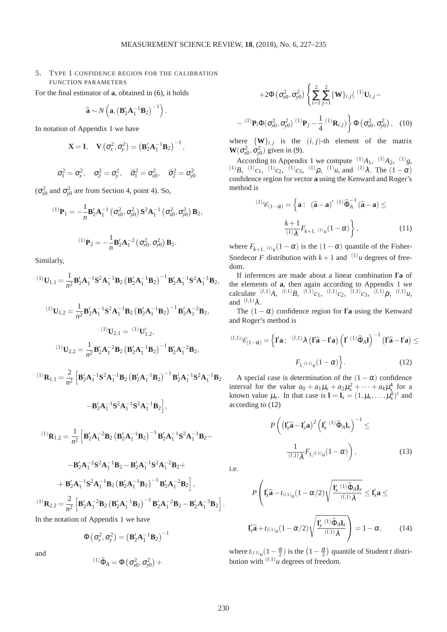−

### 5. TYPE 1 CONFIDENCE REGION FOR THE CALIBRATION FUNCTION PARAMETERS

For the final estimator of **a**, obtained in [\(6\)](#page-2-2), it holds

$$
\widehat{\mathbf{a}} \sim N\left(\mathbf{a}, \left(\mathbf{B}'_2\mathbf{A}_1^{-1}\mathbf{B}_2\right)^{-1}\right).
$$

In notation of Appendix 1 we have

$$
\mathbf{X}=\mathbf{I},\quad \mathbf{V}\left(\sigma_{x}^{2},\sigma_{y}^{2}\right)=\left(\mathbf{B}_{2}^{\prime}\mathbf{A}_{1}^{-1}\mathbf{B}_{2}\right)^{-1},
$$

$$
\sigma_1^2 = \sigma_x^2, \quad \sigma_2^2 = \sigma_y^2, \quad \widehat{\sigma}_1^2 = \sigma_{x0}^2, \quad \widehat{\sigma}_2^2 = \sigma_{y0}^2
$$

 $(\sigma_{x0}^2$  and  $\sigma_{y0}^2$  are from Section 4, point 4). So,

$$
^{(1)}\mathbf{P}_1 = -\frac{1}{n}\mathbf{B}_2'\mathbf{A}_1^{-1} \left(\sigma_{x0}^2, \sigma_{y0}^2\right) \mathbf{S}^2 \mathbf{A}_1^{-1} \left(\sigma_{x0}^2, \sigma_{y0}^2\right) \mathbf{B}_2,
$$
  

$$
^{(1)}\mathbf{P}_2 = -\frac{1}{n}\mathbf{B}_2'\mathbf{A}_1^{-2} \left(\sigma_{x0}^2, \sigma_{y0}^2\right) \mathbf{B}_2.
$$

Similarly,

$$
{}^{(1)}\mathbf{U}_{1,1} = \frac{1}{n^2} \mathbf{B}'_2 \mathbf{A}_1^{-1} \mathbf{S}^2 \mathbf{A}_1^{-1} \mathbf{B}_2 \left( \mathbf{B}'_2 \mathbf{A}_1^{-1} \mathbf{B}_2 \right)^{-1} \mathbf{B}'_2 \mathbf{A}_1^{-1} \mathbf{S}^2 \mathbf{A}_1^{-1} \mathbf{B}_2,
$$

$$
{}^{(1)}\mathbf{U}_{1,2} = \frac{1}{n^2} \mathbf{B}'_2 \mathbf{A}_1^{-1} \mathbf{S}^2 \mathbf{A}_1^{-1} \mathbf{B}_2 \left( \mathbf{B}'_2 \mathbf{A}_1^{-1} \mathbf{B}_2 \right)^{-1} \mathbf{B}'_2 \mathbf{A}_1^{-2} \mathbf{B}_2,
$$
  

$$
{}^{(1)}\mathbf{U}_{2,1} = {}^{(1)}\mathbf{U}'_{1,2},
$$

$$
{}^{(1)}\mathbf{U}_{2,2} = \frac{1}{n^2} \mathbf{B}'_2 \mathbf{A}_1^{-2} \mathbf{B}_2 \left( \mathbf{B}'_2 \mathbf{A}_1^{-1} \mathbf{B}_2 \right)^{-1} \mathbf{B}'_2 \mathbf{A}_1^{-2} \mathbf{B}_2,
$$

$$
^{(1)}\mathbf{R}_{1,1} = \frac{2}{n^2} \left[ \mathbf{B}'_2 \mathbf{A}_1^{-1} \mathbf{S}^2 \mathbf{A}_1^{-1} \mathbf{B}_2 \left( \mathbf{B}'_2 \mathbf{A}_1^{-1} \mathbf{B}_2 \right)^{-1} \mathbf{B}'_2 \mathbf{A}_1^{-1} \mathbf{S}^2 \mathbf{A}_1^{-1} \mathbf{B}_2 \right]
$$

 $-\mathbf{B}'_2\mathbf{A}_1^{-1}\mathbf{S}^2\mathbf{A}_1^{-1}\mathbf{S}^2\mathbf{A}_1^{-1}\mathbf{B}_2$ ,

$$
{}^{(1)}\mathbf{R}_{1,2} = \frac{1}{n^2} \left[ \mathbf{B}_2' \mathbf{A}_1^{-2} \mathbf{B}_2 \left( \mathbf{B}_2' \mathbf{A}_1^{-1} \mathbf{B}_2 \right)^{-1} \mathbf{B}_2' \mathbf{A}_1^{-1} \mathbf{S}^2 \mathbf{A}_1^{-1} \mathbf{B}_2 - \right.
$$

$$
- \mathbf{B}_2' \mathbf{A}_1^{-2} \mathbf{S}^2 \mathbf{A}_1^{-1} \mathbf{B}_2 - \mathbf{B}_2' \mathbf{A}_1^{-1} \mathbf{S}^2 \mathbf{A}_1^{-2} \mathbf{B}_2 +
$$

$$
+ \mathbf{B}_2' \mathbf{A}_1^{-1} \mathbf{S}^2 \mathbf{A}_1^{-1} \mathbf{B}_2 \left( \mathbf{B}_2' \mathbf{A}_1^{-1} \mathbf{B}_2 \right)^{-1} \mathbf{B}_2' \mathbf{A}_1^{-2} \mathbf{B}_2 \right],
$$

$$
{}^{(1)}\mathbf{R}_{2,2} = \frac{2}{n^2} \left[ \mathbf{B}_2' \mathbf{A}_1^{-2} \mathbf{B}_2 \left( \mathbf{B}_2' \mathbf{A}_1^{-1} \mathbf{B}_2 \right)^{-1} \mathbf{B}_2' \mathbf{A}_1^{-2} \mathbf{B}_2 - \mathbf{B}_2' \mathbf{A}_1^{-3} \mathbf{B}_2 \right].
$$

In the notation of Appendix 1 we have

$$
\Phi\left(\sigma_x^2, \sigma_y^2\right) = \left(\mathbf{B}_2'\mathbf{A}_1^{-1}\mathbf{B}_2\right)^{-1}
$$

 $^{(1)}\hat{\Phi}_A = \Phi(\sigma_{x0}^2, \sigma_{y0}^2) +$ 

and

$$
+2\Phi\left(\sigma_{x0}^{2},\sigma_{y0}^{2}\right)\left\{\sum_{i=1}^{2}\sum_{j=1}^{2}\{\mathbf{W}\}_{i,j}\left(\begin{array}{c} (1)\mathbf{U}_{i,j}-\\(1)\mathbf{P}_{i}\Phi(\sigma_{x0}^{2},\sigma_{y0}^{2})\end{array}\right.\right.
$$

$$
(1)\mathbf{P}_{i}\Phi(\sigma_{x0}^{2},\sigma_{y0}^{2})\left(\begin{array}{c} (1)\mathbf{P}_{j}-\frac{1}{4}\end{array}\right.\left.\begin{array}{c} (1)\mathbf{R}_{i,j}\end{array}\right\}\Phi\left(\sigma_{x0}^{2},\sigma_{y0}^{2}\right), \quad (10)
$$

where  $\{W\}_{i,j}$  is the  $(i, j)$ -th element of the matrix  $\mathbf{W}(\sigma_{x0}^2, \sigma_{y0}^2)$  given in [\(9\)](#page-2-4).

According to Appendix 1 we compute  $(1)_{A_1}$ ,  $(1)_{A_2}$ ,  $(1)_{g_3}$ (1)*B*, (1)<sub>*c*1</sub>, (1)<sub>*c*2</sub>, (1)<sub>*c*3</sub>, (1)<sub>*p*</sub>, (1)<sub>*u*</sub>, and (1) $\lambda$ . The (1 -  $\alpha$ ) confidence region for vector **a** using the Kenward and Roger's method is

<span id="page-3-1"></span>
$$
^{(1)}\mathscr{C}_{(1-\alpha)} = \left\{ \mathbf{a} : \begin{array}{ll} \left(\mathbf{\hat{a}} - \mathbf{a}\right)^{\prime} \left(1\right) \widehat{\Phi}_{A}^{-1} \left(\mathbf{\hat{a}} - \mathbf{a}\right) \leq \end{array} \right. \\
 \left. \frac{k+1}{\left(1\right)\lambda} F_{k+1, \left(1\right)\mu} (1-\alpha) \right\}, \tag{11}
$$

where  $F_{k+1,(1)u}(1-\alpha)$  is the  $(1-\alpha)$  quantile of the Fisher-Snedecor *F* distribution with  $k+1$  and  $(1)$ *u* degrees of freedom.

If inferences are made about a linear combination **l** ′**a** of the elements of **a**, then again according to Appendix 1 we calculate  $^{(l,1)}A$ ,  $^{(l,1)}B$ ,  $^{(l,1)}c_1$ ,  $^{(l,1)}c_2$ ,  $^{(l,1)}c_3$ ,  $^{(l,1)}\rho$ ,  $^{(l,1)}u$ , and  $^{(l,1)}\lambda$ .

The  $(1 - \alpha)$  confidence region for **l'a** using the Kenward and Roger's method is

$$
^{(l,1)}\mathscr{C}_{(1-\alpha)} = \left\{ \mathbf{I}'\mathbf{a}: \begin{array}{c} (l,1)_{\lambda} \left(\mathbf{I}'\widehat{\mathbf{a}} - \mathbf{I}'\mathbf{a}\right) \left(\mathbf{I}' \stackrel{(1)}{\widehat{\mathbf{a}}}_{A}\mathbf{I}\right)^{-1} \left(\mathbf{I}'\widehat{\mathbf{a}} - \mathbf{I}'\mathbf{a}\right) \leq \\ F_{1,(l,1)_u}(1-\alpha) \right\} . \end{array} \tag{12}
$$

A special case is determination of the  $(1 - \alpha)$  confidence interval for the value  $a_0 + a_1\mu_x + a_2\mu_x^2 + \cdots + a_k\mu_x^k$  for a known value  $\mu_x$ . In that case is  $\mathbf{l} = \mathbf{l}_x = (1, \mu_x, \dots, \mu_x^k)'$  and according to [\(12\)](#page-3-0)

<span id="page-3-0"></span>
$$
P\left(\left(\mathbf{l}'_{x}\hat{\mathbf{a}}-\mathbf{l}'_{x}\mathbf{a}\right)^{2}\left(\mathbf{l}'_{x}^{(1)}\hat{\Phi}_{A}\mathbf{l}_{x}\right)^{-1}\leq\right.
$$

$$
\frac{1}{(l,1)\lambda}F_{1,(l,1)u}(1-\alpha)\right),\qquad(13)
$$

i.e.

$$
P\left(\mathbf{I}_{x}^{\prime}\widehat{\mathbf{a}}-t_{(l,1)_{u}}(1-\alpha/2)\sqrt{\frac{\mathbf{I}_{x}^{\prime}(1)\widehat{\Phi}_{A}\mathbf{I}_{x}}{(l,1)\lambda}}\leq\mathbf{I}_{x}^{\prime}\mathbf{a}\leq
$$
  

$$
\mathbf{I}_{x}^{\prime}\widehat{\mathbf{a}}+t_{(l,1)_{u}}(1-\alpha/2)\sqrt{\frac{\mathbf{I}_{x}^{\prime}(1)\widehat{\Phi}_{A}\mathbf{I}_{x}}{(l,1)\lambda}}\right)=1-\alpha,
$$
 (14)

<span id="page-3-2"></span>where  $t_{(l,1)u}(1-\frac{\alpha}{2})$  is the  $\left(1-\frac{\alpha}{2}\right)$  quantile of Student *t* distribution with  $(l,1)$ *u* degrees of freedom.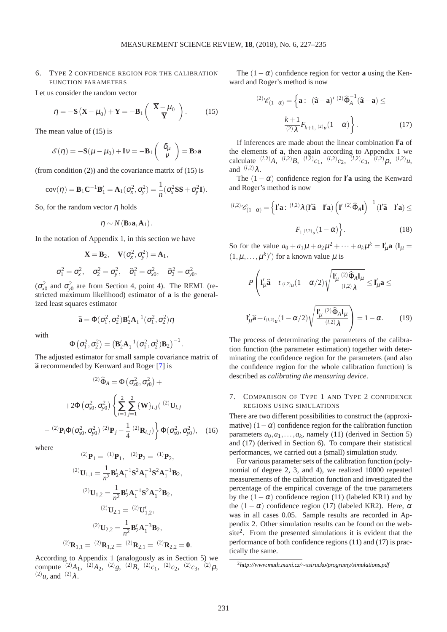#### 6. TYPE 2 CONFIDENCE REGION FOR THE CALIBRATION FUNCTION PARAMETERS

Let us consider the random vector

<span id="page-4-0"></span>
$$
\eta = -\mathbf{S}\left(\overline{\mathbf{X}} - \mu_0\right) + \overline{\mathbf{Y}} = -\mathbf{B}_1 \left(\begin{array}{c} \overline{\mathbf{X}} - \mu_0 \\ \overline{\mathbf{Y}} \end{array}\right). \tag{15}
$$

The mean value of [\(15\)](#page-4-0) is

$$
\mathscr{E}(\eta) = -\mathbf{S}(\mu - \mu_0) + \mathbf{I}v = -\mathbf{B}_1 \left( \begin{array}{c} \delta_{\mu} \\ v \end{array} \right) = \mathbf{B}_2 \mathbf{a}
$$

(from condition  $(2)$ ) and the covariance matrix of  $(15)$  is

$$
cov(\boldsymbol{\eta}) = \mathbf{B}_1 \mathbf{C}^{-1} \mathbf{B}'_1 = \mathbf{A}_1(\sigma_x^2, \sigma_y^2) = \frac{1}{n} (\sigma_x^2 \mathbf{S} \mathbf{S} + \sigma_y^2 \mathbf{I}).
$$

So, for the random vector  $\eta$  holds

$$
\eta \sim N(\mathbf{B}_2\mathbf{a},\mathbf{A}_1).
$$

In the notation of Appendix 1, in this section we have

$$
\mathbf{X} = \mathbf{B}_2, \quad \mathbf{V}(\sigma_x^2, \sigma_y^2) = \mathbf{A}_1,
$$
  

$$
\sigma_1^2 = \sigma_x^2, \quad \sigma_2^2 = \sigma_y^2, \quad \widehat{\sigma}_1^2 = \sigma_{x0}^2, \quad \widehat{\sigma}_2^2 = \sigma_{y0}^2,
$$

 $(\sigma_{x0}^2$  and  $\sigma_{y0}^2$  are from Section 4, point 4). The REML (restricted maximum likelihood) estimator of **a** is the generalized least squares estimator

$$
\widehat{\mathbf{a}} = \Phi(\sigma_1^2, \sigma_2^2) \mathbf{B}_2' \mathbf{A}_1^{-1}(\sigma_1^2, \sigma_2^2) \eta
$$

with

$$
\Phi\left(\sigma_1^2,\sigma_2^2\right)=\left(\textbf{B}_2'\textbf{A}_1^{-1}(\sigma_1^2,\sigma_2^2)\textbf{B}_2\right)^{-1}
$$

.

The adjusted estimator for small sample covariance matrix of <sup>b</sup>**<sup>a</sup>** recommended by Kenward and Roger [\[7\]](#page-8-6) is

$$
^{(2)}\hat{\Phi}_{A} = \Phi\left(\sigma_{x0}^{2}, \sigma_{y0}^{2}\right) +
$$

$$
+2\Phi\left(\sigma_{x0}^{2}, \sigma_{y0}^{2}\right) \left\{\sum_{i=1}^{2} \sum_{j=1}^{2} \{W\}_{i,j} \left(\right.^{(2)}\mathbf{U}_{i,j} -
$$

$$
^{(2)}\mathbf{P}_{i}\Phi(\sigma_{x0}^{2}, \sigma_{y0}^{2}) \left(\right.^{(2)}\mathbf{P}_{j} - \frac{1}{4} \left(\right)^{2}\mathbf{R}_{i,j}\right) \right\} \Phi(\sigma_{x0}^{2}, \sigma_{y0}^{2}), \quad (16)
$$

where

−

$$
{}^{(2)}\mathbf{P}_1 = {}^{(1)}\mathbf{P}_1, \quad {}^{(2)}\mathbf{P}_2 = {}^{(1)}\mathbf{P}_2,
$$
  
\n
$$
{}^{(2)}\mathbf{U}_{1,1} = \frac{1}{n^2} \mathbf{B}_2' \mathbf{A}_1^{-1} \mathbf{S}^2 \mathbf{A}_1^{-1} \mathbf{S}^2 \mathbf{A}_1^{-1} \mathbf{B}_2,
$$
  
\n
$$
{}^{(2)}\mathbf{U}_{1,2} = \frac{1}{n^2} \mathbf{B}_2' \mathbf{A}_1^{-1} \mathbf{S}^2 \mathbf{A}_1^{-2} \mathbf{B}_2,
$$
  
\n
$$
{}^{(2)}\mathbf{U}_{2,1} = {}^{(2)}\mathbf{U}'_{1,2},
$$
  
\n
$$
{}^{(2)}\mathbf{U}_{2,2} = \frac{1}{n^2} \mathbf{B}_2' \mathbf{A}_1^{-3} \mathbf{B}_2,
$$
  
\n
$$
{}^{(2)}\mathbf{R}_{1,1} = {}^{(2)}\mathbf{R}_{1,2} = {}^{(2)}\mathbf{R}_{2,1} = {}^{(2)}\mathbf{R}_{2,2} = \mathbf{0}.
$$

According to Appendix 1 (analogously as in Section 5) we compute  $^{(2)}A_1$ ,  $^{(2)}A_2$ ,  $^{(2)}g$ ,  $^{(2)}B$ ,  $^{(2)}c_1$ ,  $^{(2)}c_2$ ,  $^{(2)}c_3$ ,  $^{(2)}\rho$ ,  $(2)$  $\mu$ , and  $(2)$  $\lambda$ .

The  $(1 - \alpha)$  confidence region for vector **a** using the Kenward and Roger's method is now

<span id="page-4-1"></span>
$$
^{(2)}\mathscr{C}_{(1-\alpha)} = \left\{ \mathbf{a}: \begin{array}{ll} (\widehat{\mathbf{a}} - \mathbf{a})' \stackrel{(2)}{\widehat{\Phi}_A}^{-1} (\widehat{\mathbf{a}} - \mathbf{a}) \leq \end{array} \right. \\
\left. \frac{k+1}{(2)\lambda} F_{k+1, (2)_{\mathcal{U}}} (1-\alpha) \right\}.
$$
\n(17)

If inferences are made about the linear combination **l** ′**a** of the elements of **a**, then again according to Appendix 1 we calculate  $(1,2)A$ ,  $(1,2)B$ ,  $(1,2)C_1$ ,  $(1,2)C_2$ ,  $(1,2)C_3$ ,  $(1,2)D$ ,  $(1,2)U$ , and  $(l,2)$ λ.

The  $(1 - \alpha)$  confidence region for **l'a** using the Kenward and Roger's method is now

$$
^{(l,2)}\mathscr{C}_{(1-\alpha)} = \left\{ \mathbf{I}'\mathbf{a} : {}^{(l,2)}\lambda (\mathbf{I}'\hat{\mathbf{a}} - \mathbf{I}'\mathbf{a}) \left( \mathbf{I}' {}^{(2)}\hat{\Phi}_A \mathbf{I} \right)^{-1} (\mathbf{I}'\hat{\mathbf{a}} - \mathbf{I}'\mathbf{a}) \le
$$

$$
F_{1,(l,2)_\mathcal{U}}(1-\alpha) \right\}.
$$
 (18)

So for the value  $a_0 + a_1\mu + a_2\mu^2 + \cdots + a_k\mu^k = I'_\mu$ **a**  $(I_\mu =$  $(1, \mu, \ldots, \mu^k)'$  for a known value  $\mu$  is

$$
P\left(\mathbf{I}_{\mu}^{\prime}\widehat{\mathbf{a}}-t_{(l,2)_{\mu}}(1-\alpha/2)\sqrt{\frac{\mathbf{I}_{\mu}^{\prime}(2)\widehat{\Phi}_{A}\mathbf{I}_{\mu}}{(l,2)\lambda}}\leq\mathbf{I}_{\mu}^{\prime}\mathbf{a}\leq\mathbf{I}_{\mu}^{\prime}\widehat{\mathbf{a}}+t_{(l,2)_{\mu}}(1-\alpha/2)\sqrt{\frac{\mathbf{I}_{\mu}^{\prime}(2)\widehat{\Phi}_{A}\mathbf{I}_{\mu}}{(l,2)\lambda}}\right)=1-\alpha.
$$
 (19)

<span id="page-4-3"></span>The process of determinating the parameters of the calibration function (the parameter estimation) together with determinating the confidence region for the parameters (and also the confidence region for the whole calibration function) is described as *calibrating the measuring device*.

#### 7. COMPARISON OF TYPE 1 AND TYPE 2 CONFIDENCE REGIONS USING SIMULATIONS

There are two different possibilities to construct the (approximative)  $(1 - \alpha)$  confidence region for the calibration function parameters  $a_0, a_1, \ldots, a_k$ , namely [\(11\)](#page-3-1) (derived in Section 5) and [\(17\)](#page-4-1) (derived in Section 6). To compare their statistical performances, we carried out a (small) simulation study.

For various parameter sets of the calibration function (polynomial of degree 2, 3, and 4), we realized 10000 repeated measurements of the calibration function and investigated the percentage of the empirical coverage of the true parameters by the  $(1 - \alpha)$  confidence region [\(11\)](#page-3-1) (labeled KR1) and by the  $(1 - \alpha)$  confidence region [\(17\)](#page-4-1) (labeled KR2). Here,  $\alpha$ was in all cases 0.05. Sample results are recorded in Appendix 2. Other simulation results can be found on the web-site<sup>[2](#page-4-2)</sup>. From the presented simulations it is evident that the performance of both confidence regions [\(11\)](#page-3-1) and [\(17\)](#page-4-1) is practically the same.

<span id="page-4-2"></span><sup>2</sup>*http://www.math.muni.cz/*∼*[xsirucko/programy/simulations.pdf](http://www.math.muni.cz/~xsirucko/programy/simulations.pdf)*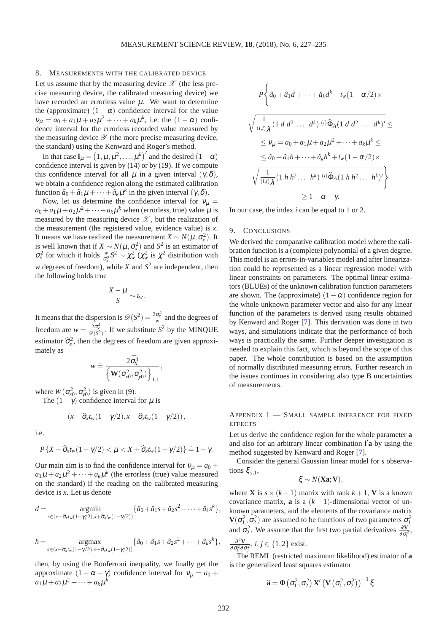#### 8. MEASUREMENTS WITH THE CALIBRATED DEVICE

Let us assume that by the measuring device  $\mathscr X$  (the less precise measuring device, the calibrated measuring device) we have recorded an errorless value  $\mu$ . We want to determine the (approximate)  $(1 - \alpha)$  confidence interval for the value  $v_{\mu} = a_0 + a_1 \mu + a_2 \mu^2 + \dots + a_k \mu^k$ , i.e. the  $(1 - \alpha)$  confidence interval for the errorless recorded value measured by the measuring device  $\mathscr Y$  (the more precise measuring device, the standard) using the Kenward and Roger's method.

In that case  $\mathbf{l}_{\mu} = (1, \mu, \mu^2, \dots, \mu^k)'$  and the desired  $(1 - \alpha)$ confidence interval is given by [\(14\)](#page-3-2) or by [\(19\)](#page-4-3). If we compute this confidence interval for all  $\mu$  in a given interval  $(\gamma, \delta)$ , we obtain a confidence region along the estimated calibration function  $\hat{a}_0 + \hat{a}_1 \mu + \cdots + \hat{a}_k \mu^k$  in the given interval  $(\gamma, \delta)$ .

Now, let us determine the confidence interval for  $v<sub>u</sub>$  =  $a_0 + a_1 \mu + a_2 \mu^2 + \cdots + a_k \mu^k$  when (errorless, true) value  $\mu$  is measured by the measuring device  $\mathscr X$ , but the realization of the measurement (the registered value, evidence value) is *x*. It means we have realized the measurement *X* ~  $N(\mu, \sigma_x^2)$ . It is well known that if  $X \sim N(\mu, \sigma_x^2)$  and  $S^2$  is an estimator of *σ*<sup>2</sup><sub>*x*</sub> for which it holds  $\frac{w}{σ_x^2}$  *S*<sup>2</sup>  $\sim \chi_w^2$  ( $\chi_w^2$  is  $\chi^2$  distribution with *w* degrees of freedom), while *X* and  $S^2$  are independent, then the following holds true

$$
\frac{X-\mu}{S} \sim t_w.
$$

It means that the dispersion is  $\mathcal{D}(S^2) = \frac{2\sigma_x^4}{w}$  and the degrees of freedom are  $w = \frac{2\sigma_x^4}{\mathcal{D}(S^2)}$ . If we substitute  $S^2$  by the MINQUE estimator  $\hat{\sigma}_x^2$ , then the degrees of freedom are given approximately as

$$
w \doteq \frac{2\widehat{\sigma}_{x}^{4}}{\left\{\mathbf{W}(\sigma_{x0}^{2}, \sigma_{y0}^{2})\right\}_{1,1}}
$$

,

where  $W(\sigma_{x0}^2, \sigma_{y0}^2)$  is given in [\(9\)](#page-2-4).

The  $(1-\gamma)$  confidence interval for  $\mu$  is

$$
(x-\widehat{\sigma}_x t_w(1-\gamma/2), x+\widehat{\sigma}_x t_w(1-\gamma/2)),
$$

i.e.

$$
P\left\{X-\widehat{\sigma}_x t_w(1-\gamma/2)<\mu< X+\widehat{\sigma}_x t_w(1-\gamma/2)\right\}\doteq 1-\gamma.
$$

Our main aim is to find the confidence interval for  $v_{\mu} = a_0 + a_1$  $a_1\mu + a_2\mu^2 + \cdots + a_k\mu^k$  (the errorless (true) value measured on the standard) if the reading on the calibrated measuring device is *x*. Let us denote

$$
d=\underset{s\in(x-\widehat{\sigma}_x t_w(1-\gamma/2),x+\widehat{\sigma}_x t_w(1-\gamma/2))}{\operatorname{argmin}}\{\widehat{a}_0+\widehat{a}_1s+\widehat{a}_2s^2+\cdots+\widehat{a}_ks^k\},\
$$

$$
h=\underset{s\in(x-\widehat{\sigma}_x t_w(1-\gamma/2),x+\widehat{\sigma}_x t_w(1-\gamma/2))}{\operatorname{argmax}}\{\widehat{a}_0+\widehat{a}_1s+\widehat{a}_2s^2+\cdots+\widehat{a}_ks^k\},\
$$

then, by using the Bonferroni inequality, we finally get the approximate  $(1 - \alpha - \gamma)$  confidence interval for  $v_{\mu} = a_0 + \gamma$  $a_1\mu + a_2\mu^2 + \cdots + a_k\mu^k$ 

$$
P\left\{\hat{a}_0 + \hat{a}_1 d + \dots + \hat{a}_k d^k - t_w (1 - \alpha/2) \times \sqrt{\frac{1}{(l,i)} \hat{\lambda}} (1 \ d \ d^2 \ \dots \ d^k)^{(i)} \hat{\Phi}_A (1 \ d \ d^2 \ \dots \ d^k)' \le
$$
\n
$$
\leq v_\mu = a_0 + a_1 \mu + a_2 \mu^2 + \dots + a_k \mu^k \le
$$
\n
$$
\leq \hat{a}_0 + \hat{a}_1 h + \dots + \hat{a}_k h^k + t_w (1 - \alpha/2) \times \sqrt{\frac{1}{(l,i)} \hat{\lambda}} (1 \ h \ h^2 \ \dots \ h^k)^{(i)} \hat{\Phi}_A (1 \ h \ h^2 \ \dots \ h^k)'\right\}
$$
\n
$$
\geq 1 - \alpha - \gamma.
$$

In our case, the index *i* can be equal to 1 or 2.

#### 9. CONCLUSIONS

We derived the comparative calibration model where the calibration function is a (complete) polynomial of a given degree. This model is an errors-in-variables model and after linearization could be represented as a linear regression model with linear constraints on parameters. The optimal linear estimators (BLUEs) of the unknown calibration function parameters are shown. The (approximate)  $(1 - \alpha)$  confidence region for the whole unknown parameter vector and also for any linear function of the parameters is derived using results obtained by Kenward and Roger [\[7\]](#page-8-6). This derivation was done in two ways, and simulations indicate that the performance of both ways is practically the same. Further deeper investigation is needed to explain this fact, which is beyond the scope of this paper. The whole contribution is based on the assumption of normally distributed measuring errors. Further research in the issues continues in considering also type B uncertainties of measurements.

### APPENDIX 1 — SMALL SAMPLE INFERENCE FOR FIXED **EFFECTS**

Let us derive the confidence region for the whole parameter **a** and also for an arbitrary linear combination **l** ′**a** by using the method suggested by Kenward and Roger [\[7\]](#page-8-6).

Consider the general Gaussian linear model for *s* observations  $\xi_{s,1}$ ,

$$
\xi \sim N(\mathbf{Xa}; \mathbf{V}),
$$

where **X** is  $s \times (k+1)$  matrix with rank  $k+1$ , **V** is a known covariance matrix, **a** is a  $(k+1)$ -dimensional vector of unknown parameters, and the elements of the covariance matrix **V**( $\sigma_1^2$ ,  $\sigma_2^2$ ) are assumed to be functions of two parameters  $\sigma_1^2$ and  $\sigma_2^2$ . We assume that the first two partial derivatives  $\frac{\partial \mathbf{V}}{\partial \sigma_i^2}$ ,

$$
\frac{\partial^2 \mathbf{V}}{\partial \sigma_i^2 \partial \sigma_j^2}, i, j \in \{1, 2\} \text{ exist.}
$$

*i j* The REML (restricted maximum likelihood) estimator of **a** is the generalized least squares estimator

$$
\widehat{\mathbf{a}} = \Phi\left(\sigma_1^2, \sigma_2^2\right) \mathbf{X}' \left(\mathbf{V}\left(\sigma_1^2, \sigma_2^2\right)\right)^{-1} \xi
$$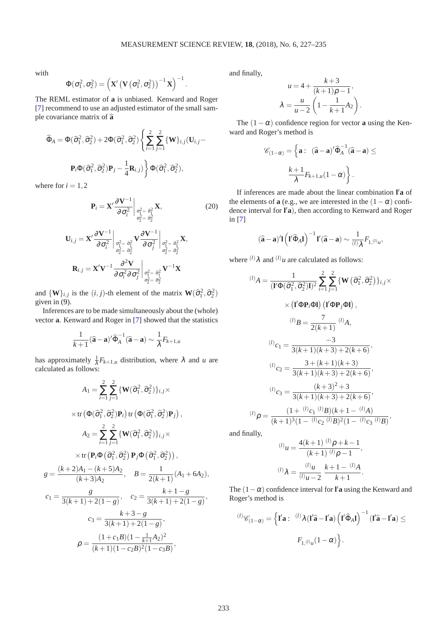with

$$
\Phi(\sigma_1^2,\sigma_2^2) = \left(\mathbf{X}'\left(\mathbf{V}\left(\sigma_1^2,\sigma_2^2\right)\right)^{-1}\mathbf{X}\right)^{-1}.
$$

The REML estimator of **a** is unbiased. Kenward and Roger [\[7\]](#page-8-6) recommend to use an adjusted estimator of the small sample covariance matrix of  $\hat{a}$ 

$$
\widehat{\Phi}_A = \Phi(\widehat{\sigma}_1^2, \widehat{\sigma}_2^2) + 2\Phi(\widehat{\sigma}_1^2, \widehat{\sigma}_2^2) \left\{ \sum_{i=1}^2 \sum_{j=1}^2 \{ \mathbf{W} \}_{i,j} (\mathbf{U}_{i,j} - \mathbf{P}_i \Phi(\widehat{\sigma}_1^2, \widehat{\sigma}_2^2) \mathbf{P}_j - \frac{1}{4} \mathbf{R}_{i,j}) \right\} \Phi(\widehat{\sigma}_1^2, \widehat{\sigma}_2^2),
$$

where for  $i = 1, 2$ 

$$
\mathbf{P}_{i} = \mathbf{X}' \frac{\partial \mathbf{V}^{-1}}{\partial \sigma_{i}^{2}} \bigg|_{\substack{\sigma_{1}^{2} = \hat{\sigma}_{1}^{2} \\ \sigma_{2}^{2} = \hat{\sigma}_{2}^{2}}} \mathbf{X},
$$
\n(20)

$$
\mathbf{U}_{i,j} = \mathbf{X}' \frac{\partial \mathbf{V}^{-1}}{\partial \sigma_i^2} \bigg|_{\substack{\sigma_1^2 = \hat{\sigma}_1^2 \\ \sigma_2^2 = \hat{\sigma}_2^2}} \mathbf{V} \frac{\partial \mathbf{V}^{-1}}{\partial \sigma_j^2} \bigg|_{\substack{\sigma_1^2 = \hat{\sigma}_1^2 \\ \sigma_2^2 = \hat{\sigma}_2^2}} \mathbf{X},
$$

$$
\mathbf{R}_{i,j} = \mathbf{X}' \mathbf{V}^{-1} \frac{\partial^2 \mathbf{V}}{\partial \sigma_i^2 \partial \sigma_j^2} \bigg|_{\substack{\sigma_1^2 = \hat{\sigma}_1^2 \\ \sigma_2^2 = \hat{\sigma}_2^2}} \mathbf{V}^{-1} \mathbf{X}
$$

and  ${\bf \{W\}}_{i,j}$  is the  $(i, j)$ -th element of the matrix  ${\bf W}(\hat{\sigma}_1^2, \hat{\sigma}_2^2)$ given in [\(9\)](#page-2-4).

Inferences are to be made simultaneously about the (whole) vector **a**. Kenward and Roger in [\[7\]](#page-8-6) showed that the statistics

$$
\frac{1}{k+1}(\widehat{\mathbf{a}}-\mathbf{a})'\widehat{\Phi}_A^{-1}(\widehat{\mathbf{a}}-\mathbf{a}) \sim \frac{1}{\lambda}F_{k+1,u}
$$

has approximately  $\frac{1}{\lambda} F_{k+1,u}$  distribution, where  $\lambda$  and *u* are calculated as follows:

$$
A_{1} = \sum_{i=1}^{2} \sum_{j=1}^{2} \{ \mathbf{W}(\hat{\sigma}_{1}^{2}, \hat{\sigma}_{2}^{2}) \}_{i,j} \times
$$
  
\n
$$
\times \text{tr} \left( \Phi(\hat{\sigma}_{1}^{2}, \hat{\sigma}_{2}^{2}) \mathbf{P}_{i} \right) \text{tr} \left( \Phi(\hat{\sigma}_{1}^{2}, \hat{\sigma}_{2}^{2}) \mathbf{P}_{j} \right),
$$
  
\n
$$
A_{2} = \sum_{i=1}^{2} \sum_{j=1}^{2} \{ \mathbf{W}(\hat{\sigma}_{1}^{2}, \hat{\sigma}_{2}^{2}) \}_{i,j} \times
$$
  
\n
$$
\times \text{tr} \left( \mathbf{P}_{i} \Phi(\hat{\sigma}_{1}^{2}, \hat{\sigma}_{2}^{2}) \mathbf{P}_{j} \Phi(\hat{\sigma}_{1}^{2}, \hat{\sigma}_{2}^{2}) \right),
$$
  
\n
$$
g = \frac{(k+2)A_{1} - (k+5)A_{2}}{(k+3)A_{2}}, \quad B = \frac{1}{2(k+1)} (A_{1} + 6A_{2}),
$$
  
\n
$$
c_{1} = \frac{g}{3(k+1) + 2(1-g)}, \quad c_{2} = \frac{k+1-g}{3(k+1) + 2(1-g)},
$$
  
\n
$$
c_{3} = \frac{k+3-g}{3(k+1) + 2(1-g)},
$$
  
\n
$$
\rho = \frac{(1+c_{1}B)(1 - \frac{1}{k+1}A_{2})^{2}}{(k+1)(1-c_{2}B)^{2}(1-c_{3}B)},
$$

and finally,

$$
u = 4 + \frac{k+3}{(k+1)\rho - 1},
$$
  

$$
\lambda = \frac{u}{u-2} \left( 1 - \frac{1}{k+1} A_2 \right).
$$

The  $(1 - \alpha)$  confidence region for vector **a** using the Kenward and Roger's method is

$$
\mathscr{C}_{(1-\alpha)} = \left\{ \mathbf{a} : \begin{array}{l} (\widehat{\mathbf{a}} - \mathbf{a})' \widehat{\Phi}_A^{-1} (\widehat{\mathbf{a}} - \mathbf{a}) \leq \\\\ \frac{k+1}{\lambda} F_{k+1,u} (1-\alpha) \end{array} \right\}.
$$

If inferences are made about the linear combination **l** ′**a** of the elements of **a** (e.g., we are interested in the  $(1 - \alpha)$  confidence interval for **l** ′**a**), then according to Kenward and Roger in [\[7\]](#page-8-6)

$$
(\widehat{\mathbf{a}} - \mathbf{a})'\mathbf{1}\left(\mathbf{I}'\widehat{\Phi}_A\mathbf{I}\right)^{-1}\mathbf{I}'(\widehat{\mathbf{a}} - \mathbf{a}) \sim \frac{1}{\left(l\right)\lambda}F_{1,\left(l\right)_{ll}},
$$

where  $^{(l)}\lambda$  and  $^{(l)}u$  are calculated as follows:

$$
{}^{(l)}A = \frac{1}{(\mathbf{I}'\Phi(\hat{\sigma}_1^2, \hat{\sigma}_2^2)\mathbf{I})^2} \sum_{i=1}^2 \sum_{j=1}^2 \{\mathbf{W}(\hat{\sigma}_1^2, \hat{\sigma}_2^2)\}_{i,j} \times
$$
  
 
$$
\times (\mathbf{I}'\Phi \mathbf{P}_i \Phi \mathbf{I}) (\mathbf{I}'\Phi \mathbf{P}_j \Phi \mathbf{I}),
$$
  
\n
$$
{}^{(l)}B = \frac{7}{2(k+1)} {}^{(l)}A,
$$
  
\n
$$
{}^{(l)}c_1 = \frac{-3}{3(k+1)(k+3) + 2(k+6)},
$$
  
\n
$$
{}^{(l)}c_2 = \frac{3 + (k+1)(k+3)}{3(k+1)(k+3) + 2(k+6)},
$$
  
\n
$$
{}^{(l)}c_3 = \frac{(k+3)^2 + 3}{3(k+1)(k+3) + 2(k+6)},
$$
  
\n
$$
{}^{(l)}\rho = \frac{(1 + {}^{(l)}c_1 {}^{(l)}B)(k+1 - {}^{(l)}A)}{(k+1)^3(1 - {}^{(l)}c_2 {}^{(l)}B)^2(1 - {}^{(l)}c_3 {}^{(l)}B)},
$$

and finally,

$$
{}^{(l)}u = \frac{4(k+1) {}^{(l)}\rho + k - 1}{(k+1) {}^{(l)}\rho - 1},
$$

$$
{}^{(l)}\lambda = \frac{{}^{(l)}u}{(l)u - 2} \frac{k+1 - {}^{(l)}A}{k+1}.
$$

The  $(1 - \alpha)$  confidence interval for **l'a** using the Kenward and Roger's method is

$$
^{(l)}\mathscr{C}_{(1-\alpha)} = \left\{ \mathbf{I}'\mathbf{a} : \begin{array}{c} {}^{(l)}\lambda ( \mathbf{I}'\widehat{\mathbf{a}} - \mathbf{I}'\mathbf{a}) \left( \mathbf{I}'\widehat{\Phi}_A \mathbf{I} \right)^{-1} (\mathbf{I}'\widehat{\mathbf{a}} - \mathbf{I}'\mathbf{a}) \leq \\ \\ F_{1,\langle l \rangle_{ll}} (1-\alpha) \end{array} \right\}.
$$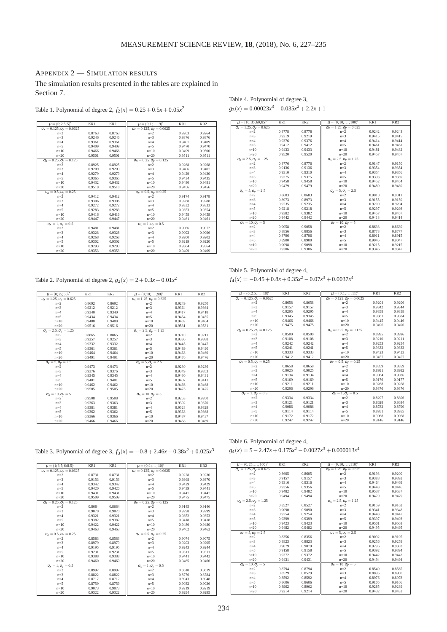## APPENDIX 2 — SIMULATION RESULTS

The simulation results presented in the tables are explained in Section 7.

Table 1. Polynomial of degree 2,  $f_2(x) = 0.25 + 0.5x + 0.05x^2$ 

Table 4. Polynomial of degree 3,  

$$
g_3(x) = 0.00023x^3 - 0.035x^2 + 2.2x + 1
$$

| $\mu = (0; 2.5; 5)'$                  | KR1    | KR <sub>2</sub> | $\mu = (0; 1; \ldots; 9)'$            | KR1    | KR <sub>2</sub> |
|---------------------------------------|--------|-----------------|---------------------------------------|--------|-----------------|
| $\sigma_x = 0.125, \sigma_y = 0.0625$ |        |                 | $\sigma_X = 0.125, \sigma_Y = 0.0625$ |        |                 |
| $n=2$                                 | 0.8763 | 0.8763          | $n=2$                                 | 0.9263 | 0.9264          |
| $n=3$                                 | 0.9246 | 0.9246          | $n=3$                                 | 0.9376 | 0.9376          |
| $n=4$                                 | 0.9361 | 0.9361          | $n=4$                                 | 0.9407 | 0.9409          |
| $n=5$                                 | 0.9409 | 0.9409          | $n=5$                                 | 0.9470 | 0.9470          |
| $n=10$                                | 0.9466 | 0.9466          | $n=10$                                | 0.9499 | 0.9500          |
| $n = 20$                              | 0.9501 | 0.9501          | $n = 20$                              | 0.9511 | 0.9511          |
| $\sigma_X = 0.25, \sigma_V = 0.125$   |        |                 | $\sigma_x = 0.25, \sigma_y = 0.125$   |        |                 |
| $n=2$                                 | 0.8925 | 0.8925          | $n=2$                                 | 0.9268 | 0.9268          |
| $n=3$                                 | 0.9209 | 0.9209          | $n=3$                                 | 0.9406 | 0.9407          |
| $n=4$                                 | 0.9279 | 0.9279          | $n=4$                                 | 0.9429 | 0.9430          |
| $n=5$                                 | 0.9365 | 0.9365          | $n=5$                                 | 0.9434 | 0.9435          |
| $n=10$                                | 0.9432 | 0.9432          | $n=10$                                | 0.9480 | 0.9481          |
| $n = 20$                              | 0.9518 | 0.9518          | $n = 20$                              | 0.9456 | 0.9456          |
| $\sigma_x = 0.5, \sigma_y = 0.25$     |        |                 | $\sigma_X = 0.5, \sigma_V = 0.25$     |        |                 |
| $n=2$                                 | 0.9412 | 0.9412          | $n=2$                                 | 0.9174 | 0.9178          |
| $n=3$                                 | 0.9306 | 0.9306          | $n=3$                                 | 0.9288 | 0.9288          |
| $n=4$                                 | 0.9272 | 0.9272          | $n=4$                                 | 0.9332 | 0.9333          |
| $n=5$                                 | 0.9283 | 0.9283          | $n=5$                                 | 0.9353 | 0.9354          |
| $n=10$                                | 0.9416 | 0.9416          | $n=10$                                | 0.9458 | 0.9458          |
| $n=20$                                | 0.9447 | 0.9447          | $n = 20$                              | 0.9461 | 0.9461          |
| $\sigma_x = 1, \sigma_y = 0.5$        |        |                 | $\sigma_x=1, \sigma_y=0.5$            |        |                 |
| $n=2$                                 | 0.9481 | 0.9481          | $n=2$                                 | 0.9066 | 0.9072          |
| $n=3$                                 | 0.9328 | 0.9328          | $n=3$                                 | 0.9093 | 0.9096          |
| $n=4$                                 | 0.9268 | 0.9268          | $n=4$                                 | 0.9200 | 0.9202          |
| $n=5$                                 | 0.9302 | 0.9302          | $n=5$                                 | 0.9219 | 0.9220          |
| $n=10$                                | 0.9293 | 0.9293          | $n=10$                                | 0.9364 | 0.9364          |
| $n = 20$                              | 0.9353 | 0.9353          | $n = 20$                              | 0.9409 | 0.9409          |

| $\mu = (10; 35; 60; 85)'$                         | KR1    | KR <sub>2</sub> | $\mu = (0; 10; \dots; 100)'$                 | KR1    | KR <sub>2</sub> |
|---------------------------------------------------|--------|-----------------|----------------------------------------------|--------|-----------------|
| $\sigma_x = 1.25, \sigma_y = 0.625$               |        |                 | $\sigma_x = 1.25, \sigma_y = 0.625$          |        |                 |
| $n=2$                                             | 0.8778 | 0.8778          | $n=2$                                        | 0.9242 | 0.9243          |
| $n=3$                                             | 0.9219 | 0.9219          | $n=3$                                        | 0.9415 | 0.9415          |
| $n=4$                                             | 0.9376 | 0.9376          | $n=4$                                        | 0.9414 | 0.9414          |
| $n=5$                                             | 0.9412 | 0.9412          | $n=5$                                        | 0.9461 | 0.9461          |
| $n=10$                                            | 0.9433 | 0.9433          | $n=10$                                       | 0.9481 | 0.9482          |
| $n = 20$                                          | 0.9520 | 0.9520          | $n=20$                                       | 0.9457 | 0.9457          |
| $\sigma_{\!X}= \overline{2.5, \sigma_{\!Y}=1.25}$ |        |                 | $\sigma_x = 2.\overline{5}, \sigma_y = 1.25$ |        |                 |
| $n=2$                                             | 0.8776 | 0.8776          | $n=2$                                        | 0.9147 | 0.9150          |
| $n=3$                                             | 0.9136 | 0.9136          | $n=3$                                        | 0.9354 | 0.9354          |
| $n=4$                                             | 0.9310 | 0.9310          | $n=4$                                        | 0.9354 | 0.9356          |
| $n=5$                                             | 0.9375 | 0.9375          | $n=5$                                        | 0.9393 | 0.9359          |
| $n = 10$                                          | 0.9458 | 0.9458          | $n=10$                                       | 0.9452 | 0.9454          |
| $n = 20$                                          | 0.9479 | 0.9479          | $n=20$                                       | 0.9489 | 0.9489          |
| $\sigma_x = 5, \sigma_y = 2.5$                    |        |                 | $\sigma_x = 5, \sigma_y = 2.5$               |        |                 |
| $n=2$                                             | 0.8683 | 0.8683          | $n=2$                                        | 0.9010 | 0.9011          |
| $n=3$                                             | 0.8973 | 0.8973          | $n=3$                                        | 0.9155 | 0.9159          |
| $n=4$                                             | 0.9235 | 0.9235          | $n=4$                                        | 0.9200 | 0.9204          |
| $n=5$                                             | 0.9218 | 0.9218          | $n=5$                                        | 0.9297 | 0.9298          |
| $n = 10$                                          | 0.9382 | 0.9382          | $n=10$                                       | 0.9457 | 0.9457          |
| $n = 20$                                          | 0.9442 | 0.9442          | $n=20$                                       | 0.9413 | 0.9414          |
| $\sigma_x = 10, \sigma_y = 5$                     |        |                 | $\sigma_x = 10, \sigma_y = 5$                |        |                 |
| $n=2$                                             | 0.9058 | 0.9058          | $n=2$                                        | 0.8633 | 0.8639          |
| $n=3$                                             | 0.8856 | 0.8856          | $n=3$                                        | 0.8773 | 0.8777          |
| $n=4$                                             | 0.8796 | 0.8796          | $n=4$                                        | 0.8911 | 0.8915          |
| $n=5$                                             | 0.8900 | 0.8900          | $n=5$                                        | 0.9045 | 0.9047          |
| $n = 10$                                          | 0.9098 | 0.9098          | $n=10$                                       | 0.9215 | 0.9215          |
| $n = 20$                                          | 0.9306 | 0.9306          | $n=20$                                       | 0.9346 | 0.9347          |

Table 2. Polynomial of degree 2,  $g_2(x) = 2 + 0.3x + 0.01x^2$ 

Table 5. Polynomial of degree 4,  $f_4(x) = -0.45 + 0.8x + 0.35x^2 - 0.07x^3 + 0.0037x^4$ 

| $\mu = (0; 25; 50)'$                | KR1    | KR <sub>2</sub> | $\mu = (0; 10; \dots; 90)$          | KR1    | KR <sub>2</sub> |
|-------------------------------------|--------|-----------------|-------------------------------------|--------|-----------------|
| $\sigma_x = 1.25, \sigma_y = 0.625$ |        |                 | $\sigma_x = 1.25, \sigma_y = 0.625$ |        |                 |
| $n=2$                               | 0.8692 | 0.8692          | $n=2$                               | 0.9249 | 0.9250          |
| $n=3$                               | 0.9212 | 0.9212          | $n=3$                               | 0.9364 | 0.9364          |
| $n=4$                               | 0.9340 | 0.9340          | $n=4$                               | 0.9417 | 0.9418          |
| $n=5$                               | 0.9434 | 0.9434          | $n=5$                               | 0.9454 | 0.9455          |
| $n=10$                              | 0.9488 | 0.9488          | $n=10$                              | 0.9482 | 0.9484          |
| $n=20$                              | 0.9516 | 0.9516          | $n=20$                              | 0.9531 | 0.9531          |
| $\sigma_X = 2.5, \sigma_V = 1.25$   |        |                 | $\sigma_x = 2.5, \sigma_y = 1.25$   |        |                 |
| $n=2$                               | 0.8865 | 0.8865          | $n=2$                               | 0.9210 | 0.9211          |
| $n=3$                               | 0.9257 | 0.9257          | $n=3$                               | 0.9386 | 0.9388          |
| $n=4$                               | 0.9332 | 0.9332          | $n=4$                               | 0.9445 | 0.9447          |
| $n=5$                               | 0.9361 | 0.9361          | $n=5$                               | 0.9489 | 0.9490          |
| $n=10$                              | 0.9464 | 0.9464          | $n=10$                              | 0.9468 | 0.9469          |
| $n=20$                              | 0.9491 | 0.9491          | $n = 20$                            | 0.9476 | 0.9476          |
| $\sigma_x = 5, \sigma_y = 2.5$      |        |                 | $\sigma_x = 5, \sigma_y = 2.5$      |        |                 |
| $n=2$                               | 0.9473 | 0.9473          | $n=2$                               | 0.9230 | 0.9236          |
| $n=3$                               | 0.9376 | 0.9376          | $n=3$                               | 0.9349 | 0.9353          |
| $n=4$                               | 0.9345 | 0.9345          | $n=4$                               | 0.9430 | 0.9431          |
| $n=5$                               | 0.9401 | 0.9401          | $n=5$                               | 0.9407 | 0.9411          |
| $n=10$                              | 0.9462 | 0.9462          | $n=10$                              | 0.9466 | 0.9468          |
| $n=20$                              | 0.9505 | 0.9505          | $n=20$                              | 0.9475 | 0.9475          |
| $\sigma_x = 10, \sigma_y = 5$       |        |                 | $\sigma_x = 10, \sigma_y = 5$       |        |                 |
| $n=2$                               | 0.9508 | 0.9508          | $n=2$                               | 0.9253 | 0.9260          |
| $n=3$                               | 0.9363 | 0.9363          | $n=3$                               | 0.9302 | 0.9370          |
| $n=4$                               | 0.9381 | 0.9381          | $n=4$                               | 0.9328 | 0.9329          |
| $n=5$                               | 0.9362 | 0.9362          | $n=5$                               | 0.9368 | 0.9368          |
| $n=10$                              | 0.9366 | 0.9366          | $n=10$                              | 0.9437 | 0.9437          |
| $n=20$                              | 0.9466 | 0.9466          | $n = 20$                            | 0.9468 | 0.9469          |

| $\mu = (0; 2.5; \ldots; 10)'$                  | KR1    | KR <sub>2</sub> | $\mu = (0; 1; \ldots; 11)'$           | KR1    | KR <sub>2</sub> |
|------------------------------------------------|--------|-----------------|---------------------------------------|--------|-----------------|
| $\sigma_x = 0.125, \sigma_y = 0.0625$          |        |                 | $\sigma_x = 0.125, \sigma_y = 0.0625$ |        |                 |
| $n=2$                                          | 0.8658 | 0.8658          | $n=2$                                 | 0.9204 | 0.9206          |
| $n=3$                                          | 0.9157 | 0.9157          | $n=3$                                 | 0.9342 | 0.9344          |
| $n=4$                                          | 0.9295 | 0.9295          | $n=4$                                 | 0.9358 | 0.9358          |
| $n=5$                                          | 0.9345 | 0.9345          | $n=5$                                 | 0.9381 | 0.9384          |
| $n = 10$                                       | 0.9466 | 0.9466          | $n = 10$                              | 0.9445 | 0.9446          |
| $n = 20$                                       | 0.9475 | 0.9475          | $n = 20$                              | 0.9496 | 0.9496          |
| $\sigma_X = 0.25, \overline{\sigma_Y} = 0.125$ |        |                 | $\sigma_x = 0.25, \sigma_y = 0.125$   |        |                 |
| $n=2$                                          | 0.8500 | 0.8500          | $n=2$                                 | 0.8995 | 0.8996          |
| $n=3$                                          | 0.9108 | 0.9108          | $n=3$                                 | 0.9210 | 0.9211          |
| $n=4$                                          | 0.9242 | 0.9242          | $n=4$                                 | 0.9253 | 0.9254          |
| $n=5$                                          | 0.9241 | 0.9241          | $n=5$                                 | 0.9332 | 0.9333          |
| $n=10$                                         | 0.9333 | 0.9333          | $n = 10$                              | 0.9423 | 0.9423          |
| $n = 20$                                       | 0.9412 | 0.9412          | $n = 20$                              | 0.9457 | 0.9457          |
| $\sigma_{\!X}$ = 0.5, $\sigma_{\!V}$ = 0.25    |        |                 | $\sigma_x = 0.5, \sigma_y = 0.25$     |        |                 |
| $n=2$                                          | 0.8658 | 0.8658          | $n=2$                                 | 0.8859 | 0.8859          |
| $n=3$                                          | 0.9025 | 0.9025          | $n=3$                                 | 0.8991 | 0.8992          |
| $n=4$                                          | 0.9134 | 0.9134          | $n=4$                                 | 0.9084 | 0.9086          |
| $n=5$                                          | 0.9169 | 0.9169          | $n=5$                                 | 0.9176 | 0.9177          |
| $n = 10$                                       | 0.9211 | 0.9211          | $n=10$                                | 0.9268 | 0.9268          |
| $n=20$                                         | 0.9296 | 0.9296          | $n = 20$                              | 0.9376 | 0.9376          |
| $\sigma_x = 1, \sigma_y = 0.5$                 |        |                 | $\sigma_x = 1, \sigma_y = 0.5$        |        |                 |
| $n=2$                                          | 0.9334 | 0.9334          | $n=2$                                 | 0.8297 | 0.8306          |
| $n=3$                                          | 0.9121 | 0.9121          | $n=3$                                 | 0.8628 | 0.8634          |
| $n=4$                                          | 0.9086 | 0.9086          | $n=4$                                 | 0.8782 | 0.8790          |
| $n=5$                                          | 0.9114 | 0.9114          | $n=5$                                 | 0.8951 | 0.8955          |
| $n=10$                                         | 0.9172 | 0.9172          | $n=10$                                | 0.9068 | 0.9068          |
| $n = 20$                                       | 0.9247 | 0.9247          | $n = 20$                              | 0.9146 | 0.9146          |

Table 3. Polynomial of degree 3,  $f_3(x) = -0.8 + 2.46x - 0.38x^2 + 0.025x^3$ 

| $\mu = (1; 3.5; 6; 8.5)'$             | KR1    | KR <sub>2</sub> | $\mu = (0; 1; \ldots; 10)'$           | KR1    | KR <sub>2</sub> |
|---------------------------------------|--------|-----------------|---------------------------------------|--------|-----------------|
| $\sigma_x = 0.125, \sigma_y = 0.0625$ |        |                 | $\sigma_X = 0.125, \sigma_Y = 0.0625$ |        |                 |
| $n=2$                                 | 0.8731 | 0.8731          | $n=2$                                 | 0.9228 | 0.9230          |
| $n=3$                                 | 0.9153 | 0.9153          | $n=3$                                 | 0.9368 | 0.9370          |
| $n=4$                                 | 0.9342 | 0.9342          | $n=4$                                 | 0.9429 | 0.9429          |
| $n=5$                                 | 0.9420 | 0.9420          | $n=5$                                 | 0.9439 | 0.9441          |
| $n=10$                                | 0.9431 | 0.9431          | $n=10$                                | 0.9447 | 0.9447          |
| $n=20$                                | 0.9509 | 0.9509          | $n = 20$                              | 0.9475 | 0.9475          |
| $\sigma_x = 0.25, \sigma_y = 0.125$   |        |                 | $\sigma_x = 0.25, \sigma_y = 0.125$   |        |                 |
| $n=2$                                 | 0.8684 | 0.8684          | $n=2$                                 | 0.9145 | 0.9146          |
| $n=3$                                 | 0.9070 | 0.9070          | $n=3$                                 | 0.9298 | 0.9299          |
| $n=4$                                 | 0.9321 | 0.9321          | $n=4$                                 | 0.9352 | 0.9353          |
| $n=5$                                 | 0.9382 | 0.9382          | $n=5$                                 | 0.9418 | 0.9418          |
| $n=10$                                | 0.9422 | 0.9422          | $n=10$                                | 0.9480 | 0.9480          |
| $n=20$                                | 0.9463 | 0.9463          | $n = 20$                              | 0.9462 | 0.9462          |
| $\sigma_x = 0.5, \sigma_y = 0.25$     |        |                 | $\sigma_x = 0.5, \sigma_y = 0.25$     |        |                 |
| $n=2$                                 | 0.8583 | 0.8583          | $n=2$                                 | 0.9074 | 0.9075          |
| $n=3$                                 | 0.8979 | 0.8979          | $n=3$                                 | 0.9203 | 0.9205          |
| $n=4$                                 | 0.9195 | 0.9195          | $n=4$                                 | 0.9243 | 0.9244          |
| $n=5$                                 | 0.9231 | 0.9231          | $n=5$                                 | 0.9311 | 0.9311          |
| $n=10$                                | 0.9388 | 0.9388          | $n=10$                                | 0.9441 | 0.9442          |
| $n = 20$                              | 0.9460 | 0.9460          | $n = 20$                              | 0.9465 | 0.9466          |
| $\sigma_x = 1, \sigma_y = 0.5$        |        |                 | $\sigma_x = 1, \sigma_y = 0.5$        |        |                 |
| $n=2$                                 | 0.8997 | 0.8997          | $n=2$                                 | 0.8610 | 0.8619          |
| $n=3$                                 | 0.8822 | 0.8822          | $n=3$                                 | 0.8776 | 0.8784          |
| $n=4$                                 | 0.8717 | 0.8717          | $n=4$                                 | 0.8943 | 0.8948          |
| $n=5$                                 | 0.8759 | 0.8759          | $n=5$                                 | 0.9032 | 0.9036          |
| $n=10$                                | 0.9073 | 0.9073          | $n=10$                                | 0.9219 | 0,9219          |
| $n=20$                                | 0.9322 | 0.9322          | $n = 20$                              | 0.9294 | 0.9295          |

Table 6. Polynomial of degree 4,  $g_4(x) = 5 - 2.47x + 0.175x^2 - 0.0027x^3 + 0.000013x^4$ 

| $\mu = (0; 25; \dots; 100)^{\prime}$ | KR1    | KR <sub>2</sub> | $\mu = (0; 10; \dots; 110)'$        | KR1    | KR <sub>2</sub> |
|--------------------------------------|--------|-----------------|-------------------------------------|--------|-----------------|
| $\sigma_x = 1.25, \sigma_y = 0.625$  |        |                 | $\sigma_X = 1.25, \sigma_V = 0.625$ |        |                 |
| $n=2$                                | 0.8605 | 0.8605          | $n=2$                               | 0.9193 | 0.9200          |
| $n=3$                                | 0.9157 | 0.9157          | $n=3$                               | 0.9388 | 0.9392          |
| $n=4$                                | 0.9316 | 0.9316          | $n=4$                               | 0.9464 | 0.9469          |
| $n=5$                                | 0.9356 | 0.9356          | $n=5$                               | 0.9443 | 0.9446          |
| $n=10$                               | 0.9482 | 0.9482          | $n=10$                              | 0.9537 | 0.9537          |
| $n = 20$                             | 0.9494 | 0.9494          | $n = 20$                            | 0.9479 | 0.9479          |
| $\sigma_x = 2.5, \sigma_y = 1.25$    |        |                 | $\sigma_x = 2.5, \sigma_y = 1.25$   |        |                 |
| $n=2$                                | 0.8527 | 0.8527          | $n=2$                               | 0.9159 | 0.9162          |
| $n=3$                                | 0.9090 | 0.9090          | $n=3$                               | 0.9341 | 0.9348          |
| $n=4$                                | 0.9254 | 0.9254          | $n=4$                               | 0.9443 | 0.9447          |
| $n=5$                                | 0.9399 | 0.9399          | $n=5$                               | 0.9397 | 0.9403          |
| $n=10$                               | 0.9423 | 0.9423          | $n=10$                              | 0.9501 | 0.9503          |
| $n = 20$                             | 0.9482 | 0.9482          | $n = 20$                            | 0.9495 | 0.9495          |
| $\sigma_x = 5, \sigma_y = 2.5$       |        |                 | $\sigma_x = 5, \sigma_y = 2.5$      |        |                 |
| $n=2$                                | 0.8356 | 0.8356          | $n=2$                               | 0.9092 | 0.9105          |
| $n=3$                                | 0.8823 | 0.8823          | $n=3$                               | 0.9256 | 0.9259          |
| $n=4$                                | 0.9079 | 0.9079          | $n=4$                               | 0.9296 | 0.9303          |
| $n=5$                                | 0.9158 | 0.9158          | $n=5$                               | 0.9392 | 0.9394          |
| $n=10$                               | 0.9372 | 0.9372          | $n=10$                              | 0.9442 | 0.9442          |
| $n = 20$                             | 0.9431 | 0.9431          | $n = 20$                            | 0.9494 | 0.9494          |
| $\sigma_x = 10, \sigma_y = 5$        |        |                 | $\sigma_x = 10, \sigma_y = 5$       |        |                 |
| $n=2$                                | 0.8794 | 0.8794          | $n=2$                               | 0.8549 | 0.8565          |
| $n=3$                                | 0.8529 | 0.8529          | $n=3$                               | 0.8895 | 0.8900          |
| $n=4$                                | 0.8592 | 0.8592          | $n=4$                               | 0.8976 | 0.8978          |
| $n=5$                                | 0.8606 | 0.8606          | $n=5$                               | 0.9105 | 0.9106          |
| $n=10$                               | 0.8962 | 0.8962          | $n=10$                              | 0.9285 | 0.9289          |
| $n = 20$                             | 0.9214 | 0.9214          | $n = 20$                            | 0.9432 | 0.9433          |